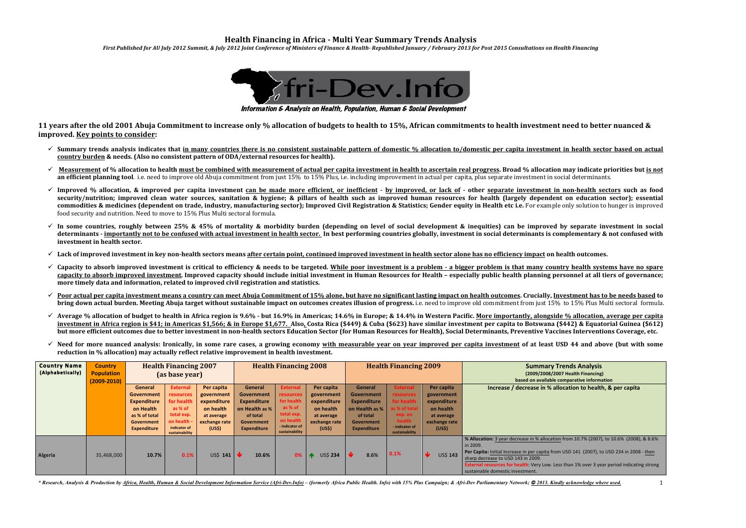# **Health Financing in Africa - Multi Year Summary Trends Analysis**

*First Published for AU July 2012 Summit, & July 2012 Joint Conference of Ministers of Finance & Health- Republished January / February 2013 for Post 2015 Consultations on Health Financing* 

**Summary Trends Analysis (2009/2008/2007 Health Financing) based on available comparative information Increase / decrease in % allocation to health, & per capita**

*r* decrease in % allocation from 10.7% (2007), to 10.6% (2008), & 8.6%

crease in per capita from USD 141 (2007), to USD 234 in 2008 - then **SD 143** in 2009 **health**: Very Low. Less than 1% over 3 year period indicating strong

investment



Information & Analysis on Health, Population, Human & Social Development

**11** years after the old 2001 Abuja Commitment to increase only % allocation of budgets to health to 15%, African commitments to health investment need to better nuanced & **improved.** Key points to consider:

- $\checkmark$  Summary trends analysis indicates that in many countries there is no consistent sustainable pattern of domestic % allocation to/domestic per capita investment in health sector based on actual **country burden & needs.** (Also no consistent pattern of ODA/external resources for health).
- Measurement of % allocation to health must be combined with measurement of actual per capita investment in health to ascertain real progress. Broad % allocation may indicate priorities but is not **an efficient planning tool**. i.e. need to improve old Abuja commitment from just 15% to 15% Plus, i.e. including improvement in actual per capita, plus separate investment in social determinants.
- √ Improved % allocation, & improved per capita investment can be made more efficient, or inefficient by improved, or lack of other separate investment in non-health sectors such as food security/nutrition; improved clean water sources, sanitation & hygiene; & pillars of health such as improved human resources for health (largely dependent on education sector); essential commodities & medicines (dependent on trade, industry, manufacturing sector); Improved Civil Registration & Statistics; Gender equity in Health etc i.e. For example only solution to hunger is improved food security and nutrition. Need to move to 15% Plus Multi sectoral formula.
- $\checkmark$  In some countries, roughly between 25% & 45% of mortality & morbidity burden (depending on level of social development & inequities) can be improved by separate investment in social determinants - importantly not to be confused with actual investment in health sector. In best performing countries globally, investment in social determinants is complementary & not confused with investment in health sector.
- $\checkmark$  Lack of improved investment in key non-health sectors means after certain point, continued improved investment in health sector alone has no efficiency impact on health outcomes.
- $\checkmark$  Capacity to absorb improved investment is critical to efficiency & needs to be targeted. While poor investment is a problem a bigger problem is that many country health systems have no spare capacity to absorb improved investment. Improved capacity should include initial investment in Human Resources for Health – especially public health planning personnel at all tiers of governance; more timely data and information, related to improved civil registration and statistics.
- √ Poor actual per capita investment means a country can meet Abuja Commitment of 15% alone, but have no significant lasting impact on health outcomes. Crucially, Investment has to be needs based to **bring down actual burden. Meeting Abuja target without sustainable impact on outcomes creates illusion of progress. i.e. need to improve old commitment from just 15% to 15% Plus Multi sectoral formula.**
- √ Average % allocation of budget to health in Africa region is 9.6% but 16.9% in Americas; 14.6% in Europe; & 14.4% in Western Pacific. More importantly, alongside % allocation, average per capita investment in Africa region is \$41; in Americas \$1,566; & in Europe \$1,677. Also, Costa Rica (\$449) & Cuba (\$623) have similar investment per capita to Botswana (\$442) & Equatorial Guinea (\$612) but more efficient outcomes due to better investment in non-health sectors Education Sector (for Human Resources for Health), Social Determinants, Preventive Vaccines Interventions Coverage, etc.
- $\checkmark$  Need for more nuanced analysis: Ironically, in some rare cases, a growing economy with measurable year on year improved per capita investment of at least USD 44 and above (but with some reduction in % allocation) may actually reflect relative improvement in health investment.

| <b>Country Name</b><br>(Alphabetically) | <b>Country</b><br><b>Population</b><br>$(2009 - 2010)$ |                                                                                                               | <b>Health Financing 2007</b><br>(as base year)                                                                       |                                                                                                           |                                                                                                                      | <b>Health Financing 2008</b>                                                                                                |                                                                                                           | <b>Health Financing 2009</b>                                                                                                |                                                                                                                      |                                                                                               |                                                                                                                                      |
|-----------------------------------------|--------------------------------------------------------|---------------------------------------------------------------------------------------------------------------|----------------------------------------------------------------------------------------------------------------------|-----------------------------------------------------------------------------------------------------------|----------------------------------------------------------------------------------------------------------------------|-----------------------------------------------------------------------------------------------------------------------------|-----------------------------------------------------------------------------------------------------------|-----------------------------------------------------------------------------------------------------------------------------|----------------------------------------------------------------------------------------------------------------------|-----------------------------------------------------------------------------------------------|--------------------------------------------------------------------------------------------------------------------------------------|
|                                         |                                                        | General<br>Government<br><b>Expenditure</b><br>on Health<br>as % of total<br>Government<br><b>Expenditure</b> | <b>External</b><br>resources<br>for health<br>as % of<br>total exp.<br>on health -<br>indicator of<br>sustainability | Per capita<br>government<br>expenditure<br>on health<br>at average<br>exchange rate<br>(US <sub>5</sub> ) | <b>General</b><br>Government<br><b>Expenditure</b><br>on Health as %<br>of total<br>Government<br><b>Expenditure</b> | <b>External</b><br><b>resources</b><br>for health<br>as % of<br>total exp.<br>on health<br>- indicator of<br>sustainability | Per capita<br>government<br>expenditure<br>on health<br>at average<br>exchange rate<br>(US <sup>2</sup> ) | <b>General</b><br><b>Government</b><br><b>Expenditure</b><br>on Health as %<br>of total<br>Government<br><b>Expenditure</b> | <b>External</b><br>resources<br>for health<br>as % of total<br>exp. on<br>health<br>- indicator of<br>sustainability | Per capita<br>government<br>expenditure<br>on health<br>at average<br>exchange rate<br>(US\$) | <b>Increas</b>                                                                                                                       |
| Algeria                                 | 35,468,000                                             | 10.7%                                                                                                         | 0.1%                                                                                                                 | US\$ 141                                                                                                  | ∣↓<br>10.6%                                                                                                          | 0%                                                                                                                          | <b>US\$ 234</b>                                                                                           | AL 4<br>8.6%                                                                                                                | 0.1%                                                                                                                 | <b>US\$ 143</b>                                                                               | % Allocation: 3 year<br>in 2009.<br>Per Capita: Initial In<br>sharp decrease to U<br><b>External resources</b><br>sustainable domest |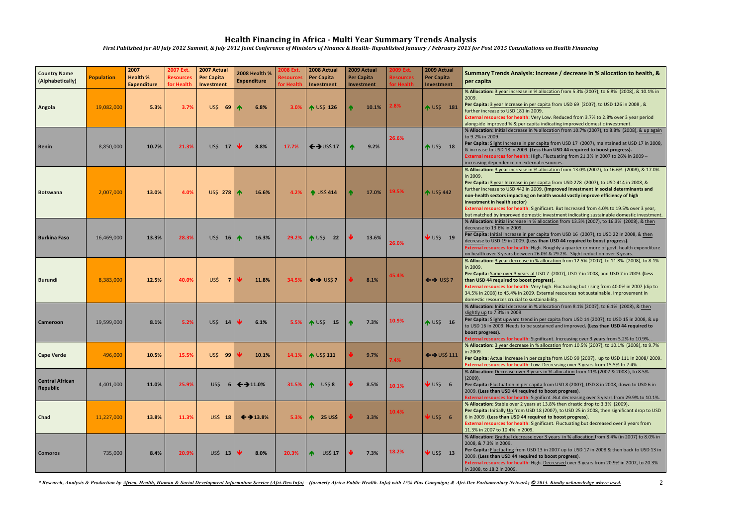| <b>Country Name</b><br>(Alphabetically) | <b>Population</b> | 2007<br><b>Health %</b><br><b>Expenditure</b> | 2007 Ext.<br><b>Resources</b><br>for Health | 2007 Actual<br><b>Per Capita</b><br>Investment | 2008 Health %<br><b>Expenditure</b> | 2008 Ext.<br><b>Resources</b><br>for Health | 2008 Actual<br><b>Per Capita</b><br>Investment | 2009 Actual<br><b>Per Capita</b><br>Investment | 2009 Ext.<br><b>Resources</b><br>for Health | 2009 Actual<br><b>Per Capita</b><br>Investment | Summary Trends Analysis: Increase / decrease in % allocation to health, &<br>per capita                                                                                                                                                                                                                                                                                                                                                                                                                                                                                                                        |
|-----------------------------------------|-------------------|-----------------------------------------------|---------------------------------------------|------------------------------------------------|-------------------------------------|---------------------------------------------|------------------------------------------------|------------------------------------------------|---------------------------------------------|------------------------------------------------|----------------------------------------------------------------------------------------------------------------------------------------------------------------------------------------------------------------------------------------------------------------------------------------------------------------------------------------------------------------------------------------------------------------------------------------------------------------------------------------------------------------------------------------------------------------------------------------------------------------|
| Angola                                  | 19,082,000        | 5.3%                                          | 3.7%                                        | US\$<br>69                                     | $\blacktriangle$<br>6.8%            | $3.0\%$                                     | $\uparrow$ US\$ 126                            | $\blacktriangle$<br>10.1%                      | 2.8%                                        | ↑ US\$ 181                                     | % Allocation: 3 year increase in % allocation from 5.3% (2007), to 6.8% (2008), & 10.1% in<br>2009.<br>Per Capita: 3 year Increase in per capita from USD 69 (2007), to USD 126 in 2008, &<br>further increase to USD 181 in 2009.                                                                                                                                                                                                                                                                                                                                                                             |
| <b>Benin</b>                            | 8,850,000         | 10.7%                                         | 21.3%                                       | US\$ 17                                        | 8.8%                                | 17.7%                                       | $\leftrightarrow$ US\$ 17                      | 9.2%                                           | 26.6%                                       | $NUS$$ 18                                      | External resources for health: Very Low. Reduced from 3.7% to 2.8% over 3 year period<br>alongside improved % & per capita indicating improved domestic investment.<br>% Allocation: Initial decrease in % allocation from 10.7% (2007), to 8.8% (2008), & up again<br>to 9.2% in 2009.<br>Per Capita: Slight Increase in per capita from USD 17 (2007), maintained at USD 17 in 2008,<br>& increase to USD 18 in 2009. (Less than USD 44 required to boost progress).<br>External resources for health: High. Fluctuating from 21.3% in 2007 to 26% in 2009 -<br>increasing dependence on external resources. |
| <b>Botswana</b>                         | 2,007,000         | 13.0%                                         | 4.0%                                        | US\$ 278 $\uparrow$                            | 16.6%                               | 4.2%                                        | <b>↑ US\$ 414</b>                              | 17.0%                                          | 19.5%                                       | <b>A US\$ 442</b>                              | % Allocation: 3 year increase in % allocation from 13.0% (2007), to 16.6% (2008), & 17.0%<br>in 2009.<br>Per Capita: 3 year Increase in per capita from USD 278 (2007), to USD 414 in 2008, &<br>further increase to USD 442 in 2009. (Improved investment in social determinants and<br>non-health sectors impacting on health would vastly improve efficiency of high<br>investment in health sector)<br>External resources for health: Significant. But Increased from 4.0% to 19.5% over 3 year,<br>but matched by improved domestic investment indicating sustainable domestic investment.                |
| <b>Burkina Faso</b>                     | 16,469,000        | 13.3%                                         | 28.3%                                       | US\$ 16 $\uparrow$                             | 16.3%                               |                                             | 29.2% <b>1</b> US\$ 22                         | 13.6%                                          | 26.0%                                       | $\bigvee$ US\$ 19                              | % Allocation: Initial increase in % allocation from 13.3% (2007), to 16.3% (2008), & then<br>decrease to 13.6% in 2009.<br>Per Capita: Initial Increase in per capita from USD 16 (2007), to USD 22 in 2008, & then<br>decrease to USD 19 in 2009. (Less than USD 44 required to boost progress).<br>External resources for health: High. Roughly a quarter or more of govt. health expenditure<br>on health over 3 years between 26.0% & 29.2%. Slight reduction over 3 years.                                                                                                                                |
| <b>Burundi</b>                          | 8,383,000         | 12.5%                                         | 40.0%                                       | US\$<br>$\overline{7}$                         | 11.8%                               |                                             | 34.5% $\leftarrow$ US\$7                       | 8.1%                                           | 45.4%                                       | $\leftrightarrow$ US\$7                        | % Allocation: 3 year decrease in % allocation from 12.5% (2007), to 11.8% (2008), to 8.1%<br>in 2009.<br>Per Capita: Same over 3 years at USD 7 (2007), USD 7 in 2008, and USD 7 in 2009. (Less<br>than USD 44 required to boost progress).<br>External resources for health: Very high. Fluctuating but rising from 40.0% in 2007 (dip to<br>34.5% in 2008) to 45.4% in 2009. External resources not sustainable. Improvement in<br>domestic resources crucial to sustainability.                                                                                                                             |
| <b>Cameroon</b>                         | 19,599,000        | 8.1%                                          | 5.2%                                        | US\$<br>14                                     | 6.1%                                | 5.5%                                        | $\bigwedge$ US\$<br><b>15</b>                  | 7.3%                                           | 10.9%                                       | ↑ US\$ 16                                      | % Allocation: Initial decrease in % allocation from 8.1% (2007), to 6.1% (2008), & then<br>slightly up to 7.3% in 2009.<br>Per Capita: Slight upward trend in per capita from USD 14 (2007), to USD 15 in 2008, & up<br>to USD 16 in 2009. Needs to be sustained and improved. (Less than USD 44 required to<br>boost progress).<br>External resources for health: Significant. Increasing over 3 years from 5.2% to 10.9%. .                                                                                                                                                                                  |
| <b>Cape Verde</b>                       | 496,000           | 10.5%                                         | 15.5%                                       | US\$ 99                                        | 10.1%                               |                                             | 14.1% <b>A</b> US\$ 111                        | 9.7%                                           | 7.4%                                        | $\leftrightarrow$ US\$ 111                     | % Allocation: 3 year decrease in % allocation from 10.5% (2007), to 10.1% (2008), to 9.7%<br>in 2009.<br>Per Capita: Actual Increase in per capita from USD 99 (2007), up to USD 111 in 2008/2009.<br>External resources for health: Low. Decreasing over 3 years from 15.5% to 7.4%                                                                                                                                                                                                                                                                                                                           |
| <b>Central African</b><br>Republic      | 4,401,000         | 11.0%                                         | 25.9%                                       | US\$                                           | $6 \div 11.0\%$                     | 31.5%   $\spadesuit$                        | <b>US\$8</b>                                   | 8.5%                                           | 10.1%                                       | $\bigvee$ US\$ 6                               | % Allocation: Decrease over 3 years in % allocation from 11% (2007 & 2008), to 8.5%<br>$(2009)$ ,<br>Per Capita: Fluctuation in per capita from USD 8 (2007), USD 8 in 2008, down to USD 6 in<br>2009. (Less than USD 44 required to boost progress).<br>External resources for health: Significnt .But decreasing over 3 years from 29.9% to 10.1%.                                                                                                                                                                                                                                                           |
| <b>Chad</b>                             | 11,227,000        | 13.8%                                         | 11.3%                                       | US\$ 18                                        | $\leftrightarrow$ 13.8%             | 5.3%                                        | $\blacklozenge$<br><b>25 US\$</b>              | 3.3%                                           | 10.4%                                       | $\bigvee$ US\$ 6                               | % Allocation: Stable over 2 years at 13.8% then drastic drop to 3.3% (2009),<br>Per Capita: Initially Up from USD 18 (2007), to USD 25 in 2008, then significant drop to USD<br>6 in 2009. (Less than USD 44 required to boost progress).<br>External resources for health: Significant. Fluctuating but decreased over 3 years from<br>11.3% in 2007 to 10.4% in 2009.                                                                                                                                                                                                                                        |
| <b>Comoros</b>                          | 735,000           | 8.4%                                          | 20.9%                                       | $US$$ 13                                       | 8.0%                                | 20.3%                                       | <b>US\$ 17</b><br>$\blacktriangle$             | 7.3%                                           | 18.2%                                       | $\bigvee$ US\$ 13                              | % Allocation: Gradual decrease over 3 years in % allocation from 8.4% (in 2007) to 8.0% in<br>2008, & 7.3% in 2009.<br>Per Capita: Fluctuating from USD 13 in 2007 up to USD 17 in 2008 & then back to USD 13 in<br>2009. (Less than USD 44 required to boost progress).<br>External resources for health: High. Decreased over 3 years from 20.9% in 2007, to 20.3%<br>in 2008, to 18.2 in 2009.                                                                                                                                                                                                              |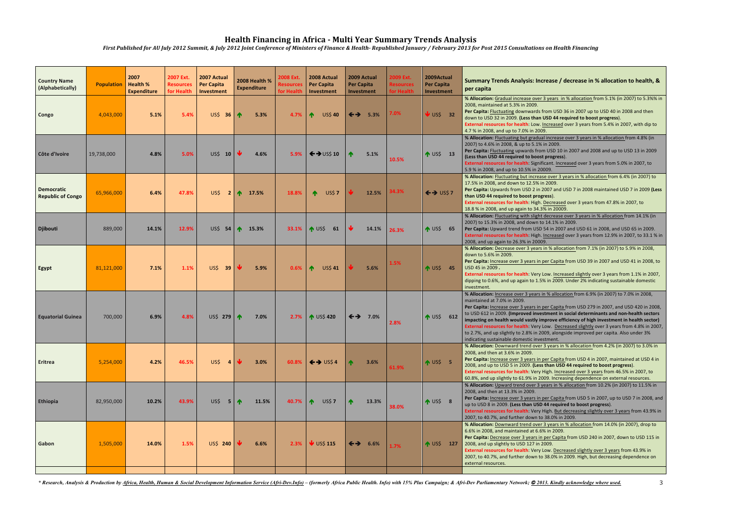| <b>Country Name</b><br>(Alphabetically) | <b>Population</b> Health % | 2007<br><b>Expenditure</b> | 2007 Ext.<br><b>Resources</b><br>for Health | 2007 Actual<br><b>Per Capita</b><br>Investment | 2008 Health %<br><b>Expenditure</b> | 2008 Ext.<br><b>Resources</b><br>for Health | 2008 Actual<br><b>Per Capita</b><br>Investment | 2009 Actual<br>Per Capita<br>Investment | 2009 Ext.<br><b>Resources</b><br>for Health | 2009Actual<br><b>Per Capita</b><br>Investment | Summary Trends Analysis: Increase / decrease in % allocation to health, &<br>per capita                                                                                                                                                                                                                                                                                                                                                                                                                                                                                                                                                             |
|-----------------------------------------|----------------------------|----------------------------|---------------------------------------------|------------------------------------------------|-------------------------------------|---------------------------------------------|------------------------------------------------|-----------------------------------------|---------------------------------------------|-----------------------------------------------|-----------------------------------------------------------------------------------------------------------------------------------------------------------------------------------------------------------------------------------------------------------------------------------------------------------------------------------------------------------------------------------------------------------------------------------------------------------------------------------------------------------------------------------------------------------------------------------------------------------------------------------------------------|
| Congo                                   | 4,043,000                  | 5.1%                       | 5.4%                                        | US\$ 36 $\uparrow$                             | 5.3%                                | 4.7%                                        | <b>US\$ 40</b><br>♠                            | $\leftrightarrow$<br>5.3%               | 7.0%                                        | $\bigcup$ US\$ 32                             | % Allocation: Gradual increase over 3 years in % allocation from 5.1% (in 2007) to 5.3%% in<br>2008, maintained at 5.3% in 2009.<br>Per Capita: Fluctuating downwards from USD 36 in 2007 up to USD 40 in 2008 and then<br>down to USD 32 in 2009. (Less than USD 44 required to boost progress).<br>External resources for health: Low. Increased over 3 years from 5.4% in 2007, with dip to<br>4.7 % in 2008, and up to 7.0% in 2009.                                                                                                                                                                                                            |
| Côte d'Ivoire                           | 19,738,000                 | 4.8%                       | 5.0%                                        | US\$ 10                                        | 4.6%                                | 5.9%                                        | $\leftrightarrow$ US\$ 10                      | 5.1%                                    | 10.5%                                       | $NUS5$ 13                                     | % Allocation: Fluctuating but gradual increase over 3 years in % allocation from 4.8% (in<br>2007) to 4.6% in 2008, & up to 5.1% in 2009.<br>Per Capita: Fluctuating upwards from USD 10 in 2007 and 2008 and up to USD 13 in 2009<br>(Less than USD 44 required to boost progress).<br>External resources for health: Significant. Increased over 3 years from 5.0% in 2007, to<br>5.9 % in 2008, and up to 10.5% in 20009.                                                                                                                                                                                                                        |
| Democratic<br><b>Republic of Congo</b>  | 65,966,000                 | 6.4%                       | 47.8%                                       |                                                | US\$ 2 $\uparrow$ 17.5%             | 18.8%                                       | $\blacklozenge$<br><b>US\$7</b>                | 12.5%                                   | 34.3%                                       | $\leftrightarrow$ US\$7                       | % Allocation: Fluctuating but increase over 3 years in % allocation from 6.4% (in 2007) to<br>17.5% in 2008, and down to 12.5% in 2009.<br>Per Capita: Upwards from USD 2 in 2007 and USD 7 in 2008 maintained USD 7 in 2009 (Less<br>than USD 44 required to boost progress).<br>External resources for health: High. Decreased over 3 years from 47.8% in 2007, to<br>18.8 % in 2008, and up again to 34.3% in 20009.                                                                                                                                                                                                                             |
| <b>Djibouti</b>                         | 889,000                    | 14.1%                      | 12.9%                                       | US\$ 54 $\uparrow$                             | 15.3%                               | 33.1%                                       | $\bigwedge$ US\$<br>61                         | 14.1%                                   | 26.3%                                       | $\bigwedge$ US\$ 65                           | % Allocation: Fluctuating with slight decrease over 3 years in % allocation from 14.1% (in<br>2007) to 15.3% in 2008, and down to 14.1% in 2009.<br>Per Capita: Upward trend from USD 54 in 2007 and USD 61 in 2008, and USD 65 in 2009.<br>External resources for health: High. Increased over 3 years from 12.9% in 2007, to 33.1 % in<br>2008, and up again to 26.3% in 20009.                                                                                                                                                                                                                                                                   |
| Egypt                                   | 81,121,000                 | 7.1%                       | 1.1%                                        | US\$ 39                                        | ₩<br>5.9%                           | 0.6%                                        | ∧<br><b>US\$41</b>                             | 5.6%                                    | 1.5%                                        | $M \cup S$ \$45                               | % Allocation: Decrease over 3 years in % allocation from 7.1% (in 2007) to 5.9% in 2008,<br>down to 5.6% in 2009.<br>Per Capita: Increase over 3 years in per Capita from USD 39 in 2007 and USD 41 in 2008, to<br>USD 45 in 2009.<br>External resources for health: Very Low. Increased slightly over 3 years from 1.1% in 2007,<br>dipping to 0.6%, and up again to 1.5% in 2009. Under 2% indicating sustainable domestic<br>investment.                                                                                                                                                                                                         |
| <b>Equatorial Guinea</b>                | 700,000                    | 6.9%                       | $4.8\%$                                     | US\$ 279 $\uparrow$                            | 7.0%                                | 2.7%                                        | <b>1</b> US\$ 420                              |                                         | 2.8%                                        | ↑ US\$ 612                                    | % Allocation: Increase over 3 years in % allocation from 6.9% (in 2007) to 7.0% in 2008,<br>maintained at 7.0% in 2009.<br>Per Capita: Increase over 3 years in per Capita from USD 279 in 2007, and USD 420 in 2008,<br>to USD 612 in 2009. (Improved investment in social determinants and non-health sectors<br>impacting on health would vastly improve efficiency of high investment in health sector)<br>External resources for health: Very Low. Decreased slightly over 3 years from 4.8% in 2007,<br>to 2.7%, and up slightly to 2.8% in 2009, alongside improved per capita. Also under 3%<br>indicating sustainable domestic investment. |
| Eritrea                                 | 5,254,000                  | 4.2%                       | 46.5%                                       | US\$                                           | 3.0%                                | 60.8%                                       | $\leftrightarrow$ US\$4                        | 3.6%                                    | 61.9%                                       | $MUS5$ 5                                      | % Allocation: Downward trend over 3 years in % allocation from 4.2% (in 2007) to 3.0% in<br>2008, and then at 3.6% in 2009.<br>Per Capita: Increase over 3 years in per Capita from USD 4 in 2007, maintained at USD 4 in<br>2008, and up to USD 5 in 2009. (Less than USD 44 required to boost progress).<br>External resources for health: Very High. Increased over 3 years from 46.5% in 2007, to<br>60.8%, and up slightly to 61.9% in 2009. Increasing dependence on external resources.                                                                                                                                                      |
| <b>Ethiopia</b>                         | 82,950,000                 | 10.2%                      | 43.9%                                       | US\$<br>5 <sub>1</sub>                         | $\bigwedge$<br>11.5%                | 40.7%                                       | <b>US\$7</b><br>∧                              | $\blacklozenge$<br>13.3%                | 38.0%                                       | $NUS5$ 8                                      | % Allocation: Upward trend over 3 years in % allocation from 10.2% (in 2007) to 11.5% in<br>2008, and then at 13.3% in 2009.<br>Per Capita: Increase over 3 years in per Capita from USD 5 in 2007, up to USD 7 in 2008, and<br>up to USD 8 in 2009. (Less than USD 44 required to boost progress).<br>External resources for health: Very High. But decreasing slightly over 3 years from 43.9% in<br>2007, to 40.7%, and further down to 38.0% in 2009.                                                                                                                                                                                           |
| Gabon                                   | 1,505,000                  | 14.0%                      | 1.5%                                        | US\$ 240                                       | 6.6%                                | 2.3%                                        | $\bigvee$ US\$ 115                             | $\leftrightarrow$ 6.6%                  | 1.7%                                        | ↑ US\$ 127                                    | % Allocation: Downward trend over 3 years in % allocation from 14.0% (in 2007), drop to<br>6.6% in 2008, and maintained at 6.6% in 2009.<br>Per Capita: Decrease over 3 years in per Capita from USD 240 in 2007, down to USD 115 in<br>2008, and up slightly to USD 127 in 2009.<br>External resources for health: Very Low. Decreased slightly over 3 years from 43.9% in<br>2007, to 40.7%, and further down to 38.0% in 2009. High, but decreasing dependence on<br>external resources.                                                                                                                                                         |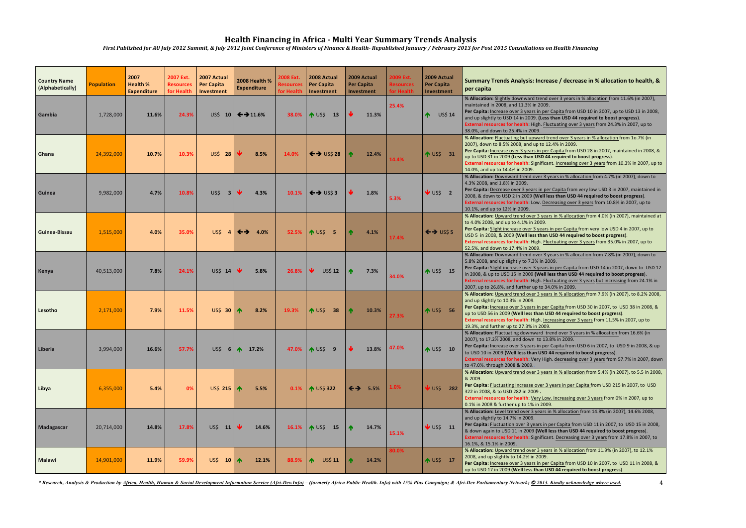| <b>Country Name</b><br>(Alphabetically) | <b>Population</b> | 2007<br><b>Health %</b><br><b>Expenditure</b> | 2007 Ext.<br><b>Resources</b><br>for Health | 2007 Actual<br><b>Per Capita</b><br><b>Investment</b> | 2008 Health %<br><b>Expenditure</b> | 2008 Ext.<br><b>Resources</b><br>for Health | 2008 Actual<br><b>Per Capita</b><br>Investment | 2009 Actual<br><b>Per Capita</b><br>Investment |       | 2009 Ext.<br><b>Resources</b><br>for Health | 2009 Actual<br>Per Capita<br>Investment |                | Summary Trends Analysis: Increase / decrease in % allocation to health, &<br>per capita                                                                                                                                                                                                                                                                                                                                                                                         |
|-----------------------------------------|-------------------|-----------------------------------------------|---------------------------------------------|-------------------------------------------------------|-------------------------------------|---------------------------------------------|------------------------------------------------|------------------------------------------------|-------|---------------------------------------------|-----------------------------------------|----------------|---------------------------------------------------------------------------------------------------------------------------------------------------------------------------------------------------------------------------------------------------------------------------------------------------------------------------------------------------------------------------------------------------------------------------------------------------------------------------------|
| Gambia                                  | 1,728,000         | 11.6%                                         | 24.3%                                       |                                                       | US\$ 10 $\leftarrow$ 11.6%          | 38.0%                                       | $\bigwedge$ US\$<br>13                         |                                                | 11.3% | 25.4%                                       |                                         | <b>US\$ 14</b> | % Allocation: Slightly downward trend over 3 years in % allocation from 11.6% (in 2007),<br>maintained in 2008, and 11.3% in 2009.<br>Per Capita: Increase over 3 years in per Capita from USD 10 in 2007, up to USD 13 in 2008,<br>and up slightly to USD 14 in 2009. (Less than USD 44 required to boost progress).<br>External resources for health: High. Fluctuating over 3 years from 24.3% in 2007, up to<br>38.0%, and down to 25.4% in 2009.                           |
| Ghana                                   | 24,392,000        | 10.7%                                         | 10.3%                                       | <b>US\$ 28</b>                                        | 8.5%                                | 14.0%                                       | $\leftrightarrow$ US\$ 28                      |                                                | 12.4% | 14.4%                                       | ↑ US\$ 31                               |                | % Allocation: Fluctuating but upward trend over 3 years in % allocation from 10.7% (in<br>2007), down to 8.5% 2008, and up to 12.4% in 2009.<br>Per Capita: Increase over 3 years in per Capita from USD 28 in 2007, maintained in 2008, &<br>up to USD 31 in 2009 (Less than USD 44 required to boost progress).<br>External resources for health: Significant. Increasing over 3 years from 10.3% in 2007, up to<br>14.0%, and up to 14.4% in 2009.                           |
| Guinea                                  | 9,982,000         | 4.7%                                          | 10.8%                                       | US\$<br>$\overline{\mathbf{3}}$                       | 4.3%                                | 10.1%                                       | $\left  \leftarrow \right\rangle$ US\$ 3       |                                                | 1.8%  | 5.3%                                        | $\frac{1}{2}$ US\$ 2                    |                | % Allocation: Downward trend over 3 years in % allocation from 4.7% (in 2007), down to<br>4.3% 2008, and 1.8% in 2009.<br>Per Capita: Decrease over 3 years in per Capita from very low USD 3 in 2007, maintained in<br>2008, & down to USD 2 in 2009 (Well less than USD 44 required to boost progress).<br>External resources for health: Low. Decreasing over 3 years from 10.8% in 2007, up to<br>10.1%, and up to 12% in 2009.                                             |
| Guinea-Bissau                           | 1,515,000         | 4.0%                                          | 35.0%                                       | US\$<br>$\overline{4}$                                | $\leftrightarrow$ 4.0%              | 52.5%                                       | $MUS5$ 5                                       |                                                | 4.1%  | 17.4%                                       | $\leftrightarrow$ US\$ 5                |                | % Allocation: Upward trend over 3 years in % allocation from 4.0% (in 2007), maintained at<br>to 4.0% 2008, and up to 4.1% in 2009.<br>Per Capita: Slight increase over 3 years in per Capita from very low USD 4 in 2007, up to<br>USD 5 in 2008, & 2009 (Well less than USD 44 required to boost progress).<br>External resources for health: High. Fluctuating over 3 years from 35.0% in 2007, up to<br>52.5%, and down to 17.4% in 2009.                                   |
| Kenya                                   | 40,513,000        | 7.8%                                          | 24.1%                                       | US\$ 14                                               | 5.8%                                | 26.8%                                       | <b>US\$ 12</b>                                 |                                                | 7.3%  | 34.0%                                       | $\sqrt{4}$ US\$ 15                      |                | % Allocation: Downward trend over 3 years in % allocation from 7.8% (in 2007), down to<br>5.8% 2008, and up slightly to 7.3% in 2009.<br>Per Capita: Slight increase over 3 years in per Capita from USD 14 in 2007, down to USD 12<br>in 2008, & up to USD 15 in 2009 (Well less than USD 44 required to boost progress).<br>External resources for health: High. Fluctuating over 3 years but increasing from 24.1% in<br>2007, up to 26.8%, and further up to 34.0% in 2009. |
| Lesotho                                 | 2,171,000         | 7.9%                                          | 11.5%                                       | <b>US\$ 30</b>                                        | 8.2%                                | 19.3%                                       | $\bigwedge$ US\$<br>38                         |                                                | 10.3% |                                             | $M$ US\$ 56                             |                | % Allocation: Upward trend over 3 years in % allocation from 7.9% (in 2007), to 8.2% 2008,<br>and up slightly to 10.3% in 2009.<br>Per Capita: Increase over 3 years in per Capita from USD 30 in 2007, to USD 38 in 2008, &<br>up to USD 56 in 2009 (Well less than USD 44 required to boost progress).<br>External resources for health: High. Increasing over 3 years from 11.5% in 2007, up to<br>19.3%, and further up to 27.3% in 2009.                                   |
| Liberia                                 | 3,994,000         | 16.6%                                         | 57.7%                                       | US\$                                                  | $6$ $\uparrow$<br>17.2%             | 47.0%                                       | $\sqrt{4}$ US\$ 9                              |                                                | 13.8% | 47.0%                                       | $\uparrow$ US\$ 10                      |                | % Allocation: Fluctuating downward trend over 3 years in % allocation from 16.6% (in<br>2007), to 17.2% 2008, and down to 13.8% in 2009.<br>Per Capita: Increase over 3 years in per Capita from USD 6 in 2007, to USD 9 in 2008, & up<br>to USD 10 in 2009 (Well less than USD 44 required to boost progress).<br>External resources for health: Very High. decreasing over 3 years from 57.7% in 2007, down<br>to 47.0%. through 2008 & 2009.                                 |
| Libya                                   | 6,355,000         | 5.4%                                          | 0%                                          | US\$ 215   1                                          | 5.5%                                | 0.1%                                        | <b>1</b> US\$ 322                              | $\leftrightarrow$ 5.5%                         |       | 1.0%                                        | $\overline{\mathsf{USS}}$ 282           |                | % Allocation: Upward trend over 3 years in % allocation from 5.4% (in 2007), to 5.5 in 2008,<br>& 2009.<br>Per Capita: Fluctuating Increase over 3 years in per Capita from USD 215 in 2007, to USD<br>322 in 2008, & to USD 282 in 2009.<br>External resources for health: Very Low. Increasing over 3 years from 0% in 2007, up to<br>0.1% in 2008 & further up to 1% in 2009.                                                                                                |
| Madagascar                              | 20,714,000        | 14.8%                                         | 17.8%                                       | US\$ 11                                               | 14.6%                               | 16.1%                                       | $\sim$ US\$<br>15                              | $\blacklozenge$                                | 14.7% | 15.1%                                       | $\bigvee$ US\$ 11                       |                | % Allocation: Level trend over 3 years in % allocation from 14.8% (in 2007), 14.6% 2008,<br>and up slightly to 14.7% in 2009.<br>Per Capita: Fluctuation over 3 years in per Capita from USD 11 in 2007, to USD 15 in 2008,<br>& down again to USD 11 in 2009 (Well less than USD 44 required to boost progress).<br>External resources for health: Significant. Decreasing over 3 years from 17.8% in 2007, to<br>16.1%, & 15.1% in 2009.                                      |
| <b>Malawi</b>                           | 14,901,000        | 11.9%                                         | 59.9%                                       | US\$ 10 $\uparrow$                                    | 12.1%                               | 88.9%                                       | $\bigwedge$<br>US\$ 11                         |                                                | 14.2% | 80.0%                                       | ↑ US\$ 17                               |                | % Allocation: Upward trend over 3 years in % allocation from 11.9% (in 2007), to 12.1%<br>2008, and up slightly to 14.2% in 2009.<br>Per Capita: Increase over 3 years in per Capita from USD 10 in 2007, to USD 11 in 2008, &<br>up to USD 17 in 2009 (Well less than USD 44 required to boost progress).                                                                                                                                                                      |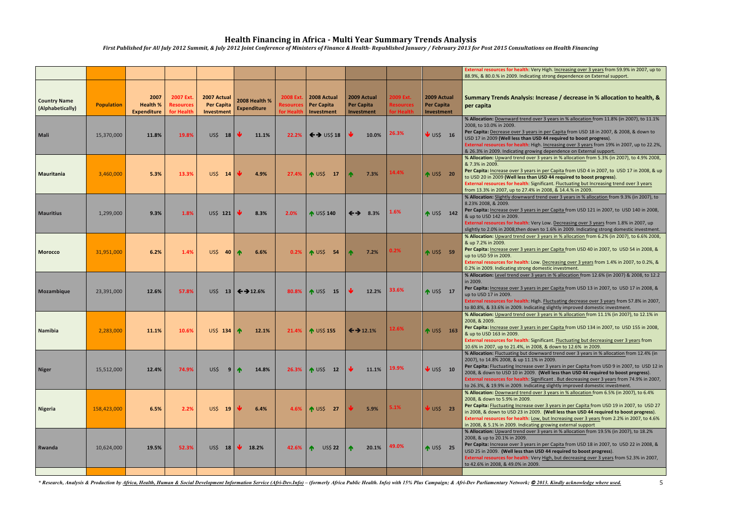|                                         |                   |                                               |                                             |                                                |                                     |                                                    |                                                |                                                |                                             |                                                | External resources for health: Very High. Increasing over 3 years from 59.9% in 2007, up to<br>88.9%, & 80.0.% in 2009. Indicating strong dependence on External support.                                                                                                                                                                                                                                                                                                                                    |
|-----------------------------------------|-------------------|-----------------------------------------------|---------------------------------------------|------------------------------------------------|-------------------------------------|----------------------------------------------------|------------------------------------------------|------------------------------------------------|---------------------------------------------|------------------------------------------------|--------------------------------------------------------------------------------------------------------------------------------------------------------------------------------------------------------------------------------------------------------------------------------------------------------------------------------------------------------------------------------------------------------------------------------------------------------------------------------------------------------------|
| <b>Country Name</b><br>(Alphabetically) | <b>Population</b> | 2007<br><b>Health %</b><br><b>Expenditure</b> | 2007 Ext.<br><b>Resources</b><br>for Health | 2007 Actual<br><b>Per Capita</b><br>Investment | 2008 Health %<br><b>Expenditure</b> | <b>2008 Ext.</b><br><b>Resources</b><br>for Health | 2008 Actual<br><b>Per Capita</b><br>Investment | 2009 Actual<br><b>Per Capita</b><br>Investment | 2009 Ext.<br><b>Resources</b><br>for Health | 2009 Actual<br><b>Per Capita</b><br>Investment | Summary Trends Analysis: Increase / decrease in % allocation to health, &<br>per capita                                                                                                                                                                                                                                                                                                                                                                                                                      |
| Mali                                    | 15,370,000        | 11.8%                                         | 19.8%                                       | US\$<br>18                                     | 11.1%                               | 22.2%                                              | $\leftrightarrow$ US\$ 18                      | 10.0%                                          | 26.3%                                       | $\sqrt{}$ US\$ 16                              | % Allocation: Downward trend over 3 years in % allocation from 11.8% (in 2007), to 11.1%<br>2008, to 10.0% in 2009.<br>Per Capita: Decrease over 3 years in per Capita from USD 18 in 2007, & 2008, & down to<br>USD 17 in 2009 (Well less than USD 44 required to boost progress).<br>External resources for health: High. Increasing over 3 years from 19% in 2007, up to 22.2%,<br>& 26.3% in 2009. Indicating growing dependence on External support.                                                    |
| Mauritania                              | 3,460,000         | 5.3%                                          | 13.3%                                       | US\$ 14                                        | 4.9%                                | 27.4%                                              | $M$ US\$<br>17                                 | 7.3%                                           | 14.4%                                       | ↑ US\$ 20                                      | % Allocation: Upward trend over 3 years in % allocation from 5.3% (in 2007), to 4.9% 2008,<br>& 7.3% in 2009.<br>Per Capita: Increase over 3 years in per Capita from USD 4 in 2007, to USD 17 in 2008, & up<br>to USD 20 in 2009 (Well less than USD 44 required to boost progress).<br>External resources for health: Significant. Fluctuating but Increasing trend over 3 years<br>from 13.3% in 2007, up to 27.4% in 2008, & 14.4.% in 2009                                                              |
| <b>Mauritius</b>                        | 1,299,000         | 9.3%                                          | 1.8%                                        | US\$ 121 $\vert$                               | 8.3%                                | 2.0%                                               | ↑ US\$ 140                                     | $\leftrightarrow$<br>8.3%                      | 1.6%                                        | ↑ US\$ 142                                     | % Allocation: Slightly downward trend over 3 years in % allocation from 9.3% (in 2007), to<br>8.23% 2008, & 2009.<br>Per Capita: Increase over 3 years in per Capita from USD 121 in 2007, to USD 140 in 2008,<br>& up to USD 142 in 2009.<br>External resources for health: Very Low. Decreasing over 3 years from 1.8% in 2007, up<br>slightly to 2.0% in 2008, then down to 1.6% in 2009. Indicating strong domestic investment.                                                                          |
| <b>Morocco</b>                          | 31,951,000        | 6.2%                                          | 1.4%                                        | US\$ 40 $\uparrow$                             | 6.6%                                | 0.2%                                               | <b>1</b> US\$ 54                               | 7.2%                                           | 0.2%                                        | ↑ US\$ 59                                      | % Allocation: Upward trend over 3 years in % allocation from 6.2% (in 2007), to 6.6% 2008,<br>& up 7.2% in 2009.<br>Per Capita: Increase over 3 years in per Capita from USD 40 in 2007, to USD 54 in 2008, &<br>up to USD 59 in 2009.<br>External resources for health: Low. Decreasing over 3 years from 1.4% in 2007, to 0.2%, &<br>0.2% in 2009. Indicating strong domestic investment.                                                                                                                  |
| Mozambique                              | 23,391,000        | 12.6%                                         | 57.8%                                       |                                                | US\$ 13 $\leftarrow$ 12.6%          | 80.8%                                              | $NUS5$ 15                                      | 12.2%                                          | 33.6%                                       | $NUSS$ 17                                      | % Allocation: Level trend over 3 years in % allocation from 12.6% (in 2007) & 2008, to 12.2<br>in 2009.<br>Per Capita: Increase over 3 years in per Capita from USD 13 in 2007, to USD 17 in 2008, &<br>up to USD 17 in 2009.<br>External resources for health: High. Fluctuating decrease over 3 years from 57.8% in 2007,<br>to 80.8%, & 33.6% in 2009. Indicating slightly improved domestic investment.                                                                                                  |
| Namibia                                 | 2,283,000         | 11.1%                                         | 10.6%                                       | US\$ 134 $\uparrow$                            | 12.1%                               | 21.4%                                              | ↑ US\$ 155                                     | $\leftrightarrow$ 12.1%                        | 12.6%                                       | ↑ US\$ 163                                     | % Allocation: Upward trend over 3 years in % allocation from 11.1% (in 2007), to 12.1% in<br>2008, & 2009.<br>Per Capita: Increase over 3 years in per Capita from USD 134 in 2007, to USD 155 in 2008,<br>& up to USD 163 in 2009.<br>External resources for health: Significant. Fluctuating but decreasing over 3 years from<br>10.6% in 2007, up to 21.4%, in 2008, & down to 12.6% in 2009.                                                                                                             |
| <b>Niger</b>                            | 15,512,000        | 12.4%                                         | 74.9%                                       | US\$                                           | $9$ $\uparrow$<br>14.8%             | 26.3%                                              | ↑ US\$ 12                                      | 11.1%                                          | 19.9%                                       | $\bigvee$ US\$ 10                              | % Allocation: Fluctuating but downward trend over 3 years in % allocation from 12.4% (in<br>2007), to 14.8% 2008, & up 11.1% in 2009.<br>Per Capita: Fluctuating Increase over 3 years in per Capita from USD 9 in 2007, to USD 12 in<br>2008, & down to USD 10 in 2009. (Well less than USD 44 required to boost progress).<br>External resources for health: Significant . But decreasing over 3 years from 74.9% in 2007,<br>to 26.3%, & 19.9% in 2009. Indicating slightly improved domestic investment. |
| Nigeria                                 | 158,423,000       | 6.5%                                          | 2.2%                                        | US\$ 19                                        | 6.4%                                | 4.6%                                               | ↑ US\$ 27                                      | 5.9%                                           | 5.1%                                        | $\overline{\mathsf{V}}$ US\$ 23                | % Allocation: Downward trend over 3 years in % allocation from 6.5% (in 2007), to 6.4%<br>2008, & down to 5.9% in 2009.<br>Per Capita: Fluctuating Increase over 3 years in per Capita from USD 19 in 2007, to USD 27<br>in 2008, & down to USD 23 in 2009. (Well less than USD 44 required to boost progress).<br>External resources for health: Low, but Increasing over 3 years from 2.2% in 2007, to 4.6%<br>in 2008, & 5.1% in 2009. Indicating growing external support                                |
| Rwanda                                  | 10,624,000        | 19.5%                                         | 52.3%                                       | $US$$ 18                                       | 18.2%                               | 42.6%                                              | <b>US\$ 22</b><br>∧                            | 20.1%                                          | 49.0%                                       | $NUSS$ 25                                      | % Allocation: Upward trend over 3 years in % allocation from 19.5% (in 2007), to 18.2%<br>2008, & up to 20.1% in 2009.<br>Per Capita: Increase over 3 years in per Capita from USD 18 in 2007, to USD 22 in 2008, &<br>USD 25 in 2009. (Well less than USD 44 required to boost progress).<br>External resources for health: Very High, but decreasing over 3 years from 52.3% in 2007,<br>to 42.6% in 2008, & 49.0% in 2009.                                                                                |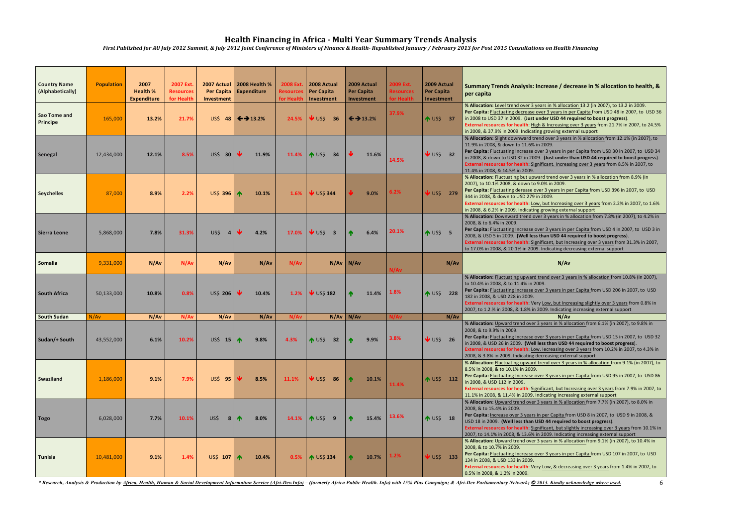| <b>Country Name</b><br>(Alphabetically) | <b>Population</b> | 2007<br><b>Health %</b><br><b>Expenditure</b> | 2007 Ext.<br><b>Resources</b><br>for Health | Investment          | 2007 Actual   2008 Health %<br>Per Capita   Expenditure | <b>2008 Ext.</b><br><b>Resources</b><br>for Health | 2008 Actual<br>Per Capita<br>Investment | 2009 Actual<br><b>Per Capita</b><br>Investment | 2009 Ext.<br><b>Resources</b><br>for Health | 2009 Actual<br><b>Per Capita</b><br>Investment | Summary Trends Analysis: Increase / decrease in % allocation to health, &<br>per capita                                                                                                                                                                                                                                                                                                                                                                                        |
|-----------------------------------------|-------------------|-----------------------------------------------|---------------------------------------------|---------------------|---------------------------------------------------------|----------------------------------------------------|-----------------------------------------|------------------------------------------------|---------------------------------------------|------------------------------------------------|--------------------------------------------------------------------------------------------------------------------------------------------------------------------------------------------------------------------------------------------------------------------------------------------------------------------------------------------------------------------------------------------------------------------------------------------------------------------------------|
| Sao Tome and<br><b>Principe</b>         | 165,000           | 13.2%                                         | 21.7%                                       |                     | US\$ 48 $\leftarrow$ 13.2%                              | 24.5%                                              | $\vee$ uss<br>36                        | $\leftrightarrow$ 13.2%                        | 37.9%                                       | 1 US\$ 37                                      | % Allocation: Level trend over 3 years in % allocation 13.2 (in 2007), to 13.2 in 2009.<br>Per Capita: Fluctuating decrease over 3 years in per Capita from USD 48 in 2007, to USD 36<br>in 2008 to USD 37 in 2009. (Just under USD 44 required to boost progress).<br>External resources for health: High & Increasing over 3 years from 21.7% in 2007, to 24.5%<br>in 2008, & 37.9% in 2009. Indicating growing external support                                             |
| Senegal                                 | 12,434,000        | 12.1%                                         | 8.5%                                        | US\$ 30             | 11.9%                                                   | 11.4%                                              | $\bigwedge$ US\$<br>34                  | 11.6%                                          | 14.5%                                       | $\sqrt{US5}$ 32                                | % Allocation: Slight downward trend over 3 years in % allocation from 12.1% (in 2007), to<br>11.9% in 2008, & down to 11.6% in 2009.<br>Per Capita: Fluctuating Increase over 3 years in per Capita from USD 30 in 2007, to USD 34<br>in 2008, & down to USD 32 in 2009. (Just under than USD 44 required to boost progress).<br>External resources for health: Significant. Increasing over 3 years from 8.5% in 2007, to<br>11.4% in 2008, & 14.5% in 2009.                  |
| <b>Seychelles</b>                       | 87,000            | 8.9%                                          | 2.2%                                        | US\$ 396   1        | 10.1%                                                   | 1.6%                                               | $\bigvee$ US\$ 344                      | 9.0%                                           | 6.2%                                        | <b>V</b> US\$ 279                              | % Allocation: Fluctuating but upward trend over 3 years in % allocation from 8.9% (in<br>2007), to 10.1% 2008, & down to 9.0% in 2009.<br>Per Capita: Fluctuating derease over 3 years in per Capita from USD 396 in 2007, to USD<br>344 in 2008, & down to USD 279 in 2009.<br>External resources for health: Low, but Increasing over 3 years from 2.2% in 2007, to 1.6%<br>in 2008, & 6.2% in 2009. Indicating growing external support                                     |
| Sierra Leone                            | 5,868,000         | 7.8%                                          | 31.3%                                       | US\$                | 4.2%                                                    | 17.0%                                              | $\bigvee$ US\$ 3                        | 6.4%                                           | 20.1%                                       | $NUS5$ 5                                       | % Allocation: Downward trend over 3 years in % allocation from 7.8% (in 2007), to 4.2% in<br>2008, & to 6.4% in 2009.<br>Per Capita: Fluctuating Increase over 3 years in per Capita from USD 4 in 2007, to USD 3 in<br>2008, & USD 5 in 2009. (Well less than USD 44 required to boost progress).<br>External resources for health: Significant, but Increasing over 3 years from 31.3% in 2007,<br>to 17.0% in 2008, & 20.1% in 2009. Indicating decreasing external support |
| <b>Somalia</b>                          | 9,331,000         | N/Av                                          | N/Av                                        | N/Av                | N/Av                                                    | N/Av                                               |                                         | $N/Av$ N/Av                                    | N/Av                                        | N/Av                                           | N/Av                                                                                                                                                                                                                                                                                                                                                                                                                                                                           |
| <b>South Africa</b>                     | 50,133,000        | 10.8%                                         | 0.8%                                        | US\$ 206            | 10.4%                                                   | 1.2%                                               | $\overline{\mathsf{V}}$ US\$ 182        | 11.4%                                          | 1.8%                                        | ↑ US\$ 228                                     | % Allocation: Fluctuating upward trend over 3 years in % allocation from 10.8% (in 2007),<br>to 10.4% in 2008, & to 11.4% in 2009.<br>Per Capita: Fluctuating Increase over 3 years in per Capita from USD 206 in 2007, to USD<br>182 in 2008, & USD 228 in 2009.<br>External resources for health: Very Low, but Increasing slightly over 3 years from 0.8% in<br>2007, to 1.2.% in 2008, & 1.8% in 2009. Indicating increasing external support                              |
| <b>South Sudan</b>                      | N/Av              | N/Av                                          | N/Av                                        | N/Av                | N/Av                                                    | N/Av                                               |                                         | $N/Av$ N/Av                                    | N/Av                                        | N/Av                                           | N/Av                                                                                                                                                                                                                                                                                                                                                                                                                                                                           |
| Sudan/+ South                           | 43,552,000        | 6.1%                                          | 10.2%                                       | US\$ 15 $\uparrow$  | 9.8%                                                    | 4.3%                                               | <b>1</b> US\$ 32                        | 9.9%                                           | 3.8%                                        | $\bigvee$ US\$ 26                              | % Allocation: Upward trend over 3 years in % allocation from 6.1% (in 2007), to 9.8% in<br>2008, & to 9.9% in 2009.<br>Per Capita: Fluctuating Increase over 3 years in per Capita from USD 15 in 2007, to USD 32<br>in 2008, & USD 26 in 2009. (Well less than USD 44 required to boost progress).<br>External resources for health: Low. Iecreasing over 3 years from 10.2% in 2007, to 4.3% in<br>2008, & 3.8% in 2009. Indicating decreasing external support              |
| Swaziland                               | 1,186,000         | 9.1%                                          | 7.9%                                        | <b>US\$ 95</b>      | 8.5%                                                    | 11.1%                                              | V US\$<br>86                            | 10.1%                                          | 11.4%                                       | ↑ US\$ 112                                     | % Allocation: Fluctuating upward trend over 3 years in % allocation from 9.1% (in 2007), to<br>8.5% in 2008, & to 10.1% in 2009.<br>Per Capita: Fluctuating Increase over 3 years in per Capita from USD 95 in 2007, to USD 86<br>in 2008, & USD 112 in 2009.<br>External resources for health: Significant, but Increasing over 3 years from 7.9% in 2007, to<br>11.1% in 2008, & 11.4% in 2009. Indicating increasing external support                                       |
| <b>Togo</b>                             | 6,028,000         | 7.7%                                          | 10.1%                                       | US\$<br>8           | 8.0%                                                    |                                                    | 14.1% 15\$ 9                            | 15.4%                                          | 13.6%                                       | $NUS5$ 18                                      | % Allocation: Upward trend over 3 years in % allocation from 7.7% (in 2007), to 8.0% in<br>2008, & to 15.4% in 2009.<br>Per Capita: Increase over 3 years in per Capita from USD 8 in 2007, to USD 9 in 2008, &<br>USD 18 in 2009. (Well less than USD 44 required to boost progress).<br>External resources for health: Significant, but slightly increasing over 3 years from 10.1% in<br>2007, to 14.1% in 2008, & 13.6% in 2009. Indicating increasing external support    |
| <b>Tunisia</b>                          | 10,481,000        | 9.1%                                          | 1.4%                                        | US\$ 107 $\uparrow$ | 10.4%                                                   |                                                    | 0.5% 15\$ 134                           | 10.7%                                          | 1.2%                                        | $\bigvee$ US\$ 133                             | % Allocation: Upward trend over 3 years in % allocation from 9.1% (in 2007), to 10.4% in<br>2008, & to 10.7% in 2009.<br>Per Capita: Fluctuating Increase over 3 years in per Capita from USD 107 in 2007, to USD<br>134 in 2008, & USD 133 in 2009.<br>External resources for health: Very Low, & decreasing over 3 years from 1.4% in 2007, to<br>0.5% in 2008, & 1.2% in 2009.                                                                                              |